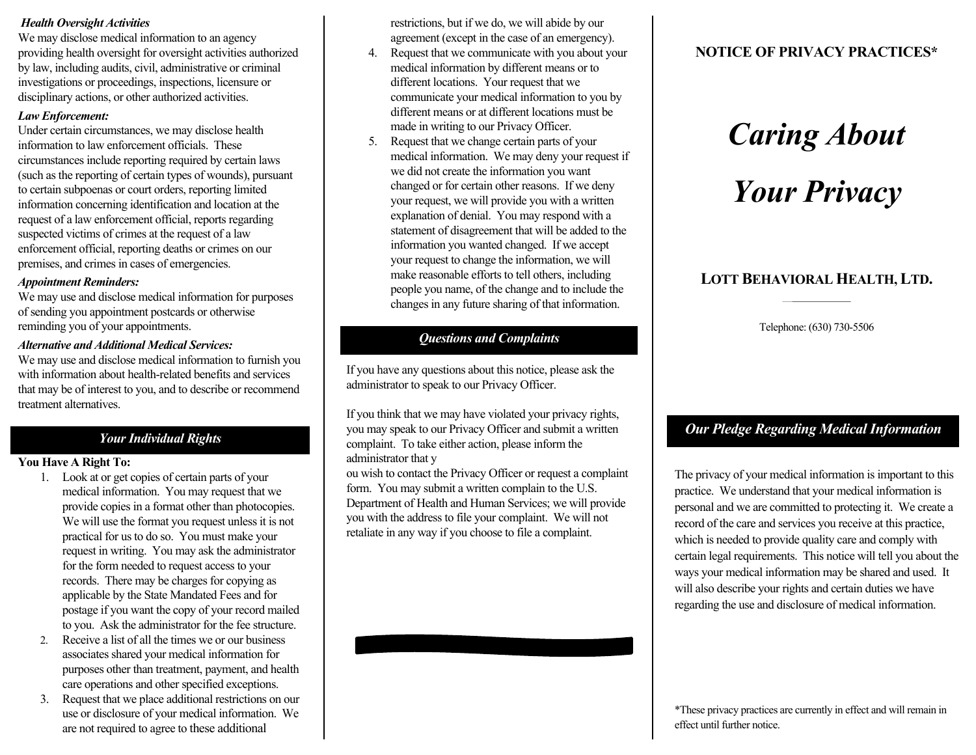# *Health Oversight Activities*

We may disclose medical information to an agency providing health oversight for oversight activities authorized by law, including audits, civil, administrative or criminal investigations or proceedings, inspections, licensure or disciplinary actions, or other authorized activities.

#### *Law Enforcement:*

Under certain circumstances, we may disclose health information to law enforcement officials. These circumstances include reporting required by certain laws (such as the reporting of certain types of wounds), pursuant to certain subpoenas or court orders, reporting limited information concerning identification and location at the request of a law enforcement official, reports regarding suspected victims of crimes at the request of a law enforcement official, reporting deaths or crimes on our premises, and crimes in cases of emergencies.

#### *Appointment Reminders:*

We may use and disclose medical information for purposes of sending you appointment postcards or otherwise reminding you of your appointments.

# *Alternative and Additional Medical Services:*

We may use and disclose medical information to furnish you with information about health-related benefits and services that may be of interest to you, and to describe or recommend treatment alternatives.

# *Your Individual Rights*

# **You Have A Right To:**

- 1. Look at or get copies of certain parts of your medical information. You may request that we provide copies in a format other than photocopies. We will use the format you request unless it is not practical for us to do so. You must make your request in writing. You may ask the administrator for the form needed to request access to your records. There may be charges for copying as applicable by the State Mandated Fees and for postage if you want the copy of your record mailed to you. Ask the administrator for the fee structure.
- 2. Receive a list of all the times we or our business associates shared your medical information for purposes other than treatment, payment, and health care operations and other specified exceptions.
- 3. Request that we place additional restrictions on our use or disclosure of your medical information. We are not required to agree to these additional

restrictions, but if we do, we will abide by our agreement (except in the case of an emergency).

- 4. Request that we communicate with you about your medical information by different means or to different locations. Your request that we communicate your medical information to you by different means or at different locations must be made in writing to our Privacy Officer.
- 5. Request that we change certain parts of your medical information. We may deny your request if we did not create the information you want changed or for certain other reasons. If we deny your request, we will provide you with a written explanation of denial. You may respond with a statement of disagreement that will be added to the information you wanted changed. If we accept your request to change the information, we will make reasonable efforts to tell others, including people you name, of the change and to include the changes in any future sharing of that information.

# *Questions and Complaints*

If you have any questions about this notice, please ask the administrator to speak to our Privacy Officer.

If you think that we may have violated your privacy rights, you may speak to our Privacy Officer and submit a written complaint. To take either action, please inform the administrator that y

ou wish to contact the Privacy Officer or request a complaint form. You may submit a written complain to the U.S. Department of Health and Human Services; we will provide you with the address to file your complaint. We will not retaliate in any way if you choose to file a complaint.

# **NOTICE OF PRIVACY PRACTICES\***

# *Caring About Your Privacy*

# **LOTT BEHAVIORAL HEALTH, LTD.**

Telephone: (630) 730-5506

# *Our Pledge Regarding Medical Information*

The privacy of your medical information is important to this practice. We understand that your medical information is personal and we are committed to protecting it. We create a record of the care and services you receive at this practice, which is needed to provide quality care and comply with certain legal requirements. This notice will tell you about the ways your medical information may be shared and used. It will also describe your rights and certain duties we have regarding the use and disclosure of medical information.

\*These privacy practices are currently in effect and will remain in effect until further notice.